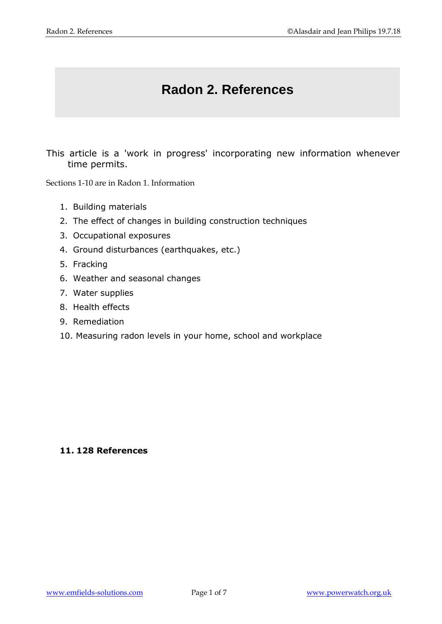## **Radon 2. References**

This article is a 'work in progress' incorporating new information whenever time permits.

Sections 1-10 are in Radon 1. Information

- 1. Building materials
- 2. The effect of changes in building construction techniques
- 3. Occupational exposures
- 4. Ground disturbances (earthquakes, etc.)
- 5. Fracking
- 6. Weather and seasonal changes
- 7. Water supplies
- 8. Health effects
- 9. Remediation
- 10. Measuring radon levels in your home, school and workplace

## **11. 128 References**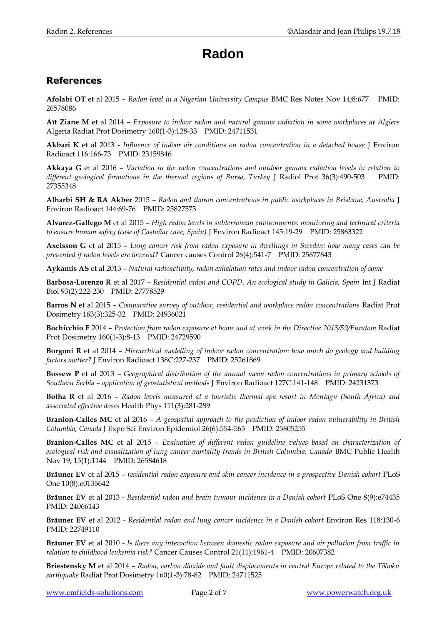## **Radon**

## **References**

**Afolabi OT** et al 2015 – *Radon level in a Nigerian University Campus* BMC Res Notes Nov 14;8:677 PMID: 26578086

**Aït Ziane M** et al 2014 – *Exposure to indoor radon and natural gamma radiation in some workplaces at Algiers* Algeria Radiat Prot Dosimetry 160(1-3):128-33 PMID: 24711531

**Akbari K** et al 2013 - *Influence of indoor air conditions on radon concentration in a detached house* J Environ Radioact 116:166-73 PMID: 23159846

**Akkaya G** et al 2016 – *Variation in the radon concentrations and outdoor gamma radiation levels in relation to*  different geological formations in the thermal regions of Bursa, Turkey J Radiol Prot 36(3):490-503 PMID: 27355348

**Alharbi SH & RA Akber** 2015 – *Radon and thoron concentrations in public workplaces in Brisbane, Australia* J Environ Radioact 144:69-76 PMID: 25827573

**Alvarez-Gallego M** et al 2015 – *High radon levels in subterranean environments: monitoring and technical criteria to ensure human safety (case of Castañar cave, Spain)* J Environ Radioact 145:19-29 PMID: 25863322

**Axelsson G** et al 2015 – *Lung cancer risk from radon exposure in dwellings in Sweden: how many cases can be prevented if radon levels are lowered?* Cancer causes Control 26(4):541-7 PMID: 25677843

**Aykamis AS** et al 2013 – *Natural radioactivity, radon exhalation rates and indoor radon concentration of some* 

**Barbosa-Lorenzo R** et al 2017 – *Residential radon and COPD. An ecological study in Galicia, Spain* Int J Radiat Biol 93(2):222-230 PMID: 27778529

**Barros N** et al 2015 – *Comparative survey of outdoor, residential and workplace radon concentrations* Radiat Prot Dosimetry 163(3):325-32 PMID: 24936021

**Bochicchio F** 2014 – *Protection from radon exposure at home and at work in the Directive 2013/59/Euratom* Radiat Prot Dosimetry 160(1-3):8-13 PMID: 24729590

**Borgoni R** et al 2014 – *Hierarchical modelling of indoor radon concentration: how much do geology and building factors matter?* J Environ Radioact 138C:227-237 PMID: 25261869

**Bossew P** et al 2013 – *Geographical distribution of the annual mean radon concentrations in primary schools of Southern Serbia – application of geostatistical methods* J Environ Radioact 127C:141-148 PMID: 24231373

**Botha R** et al 2016 – *Radon levels measured at a touristic thermal spa resort in Montagu (South Africa) and associated effective doses* Health Phys 111(3):281-289

**Branion-Calles MC** et al 2016 – *A geospatial approach to the prediction of indoor radon vulnerability in British Columbia, Canada* J Expo Sci Environ Epidemiol 26(6):554-565 PMID: 25805255

**Branion-Calles MC** et al 2015 – *Evaluation of different radon guideline values based on characterization of ecological risk and visualization of lung cancer mortality trends in British Columbia, Canada* BMC Public Health Nov 19; 15(1):1144 PMID: 26584618

**Bräuner EV** et al 2015 – *residential radon exposure and skin cancer incidence in a prospective Danish cohort* PLoS One 10(8):e0135642

**Bräuner EV** et al 2013 - *Residential radon and brain tumour incidence in a Danish cohort* PLoS One 8(9):e74435 PMID: 24066143

**Bräuner EV** et al 2012 - *Residential radon and lung cancer incidence in a Danish cohort* Environ Res 118:130-6 PMID: 22749110

**Bräuner EV** et al 2010 - *Is there any interaction between domestic radon exposure and air pollution from traffic in relation to childhood leukemia risk?* Cancer Causes Control 21(11):1961-4 PMID: 20607382

**Briestensky M** et al 2014 – *Radon, carbon dioxide and fault displacements in central Europe related to the Tōhoku earthquake* Radiat Prot Dosimetry 160(1-3):78-82 PMID: 24711525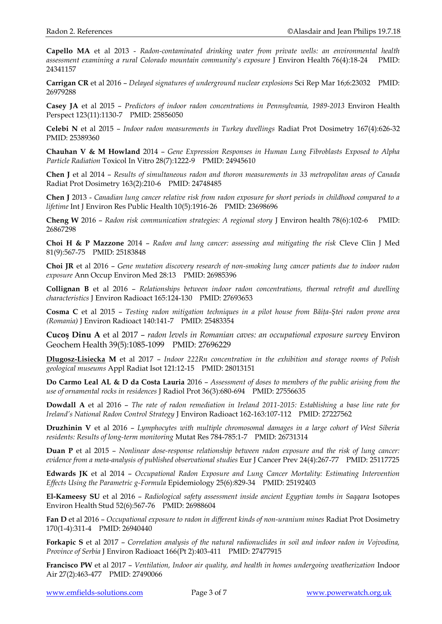**Capello MA** et al 2013 - *Radon-contaminated drinking water from private wells: an environmental health assessment examining a rural Colorado mountain community's exposure* J Environ Health 76(4):18-24 PMID: 24341157

**Carrigan CR** et al 2016 – *Delayed signatures of underground nuclear explosions* Sci Rep Mar 16;6:23032 PMID: 26979288

**Casey JA** et al 2015 – *Predictors of indoor radon concentrations in Pennsylvania, 1989-2013* Environ Health Perspect 123(11):1130-7 PMID: 25856050

**Celebi N** et al 2015 – *Indoor radon measurements in Turkey dwellings* Radiat Prot Dosimetry 167(4):626-32 PMID: 25389360

**Chauhan V & M Howland** 2014 – *Gene Expression Responses in Human Lung Fibroblasts Exposed to Alpha Particle Radiation* Toxicol In Vitro 28(7):1222-9 PMID: 24945610

**Chen J** et al 2014 – *Results of simultaneous radon and thoron measurements in 33 metropolitan areas of Canada* Radiat Prot Dosimetry 163(2):210-6 PMID: 24748485

**Chen J** 2013 - *Canadian lung cancer relative risk from radon exposure for short periods in childhood compared to a lifetime* Int J Environ Res Public Health 10(5):1916-26 PMID: 23698696

**Cheng W** 2016 – *Radon risk communication strategies: A regional story* J Environ health 78(6):102-6 PMID: 26867298

**Choi H & P Mazzone** 2014 – *Radon and lung cancer: assessing and mitigating the risk* Cleve Clin J Med 81(9):567-75 PMID: 25183848

**Choi JR** et al 2016 – *Gene mutation discovery research of non-smoking lung cancer patients due to indoor radon exposure* Ann Occup Environ Med 28:13 PMID: 26985396

**Collignan B** et al 2016 – *Relationships between indoor radon concentrations, thermal retrofit and dwelling characteristics* J Environ Radioact 165:124-130 PMID: 27693653

**Cosma C** et al 2015 – *Testing radon mitigation techniques in a pilot house from Băiţa-Ştei radon prone area (Romania)* J Environ Radioact 140:141-7 PMID: 25483354

**Cucoş Dinu A** et al 2017 – *radon levels in Romanian caves: an occupational exposure survey* Environ Geochem Health 39(5):1085-1099 PMID: 27696229

**[Dlugosz-Lisiecka](https://www.ncbi.nlm.nih.gov/pubmed/?term=D%C5%82ugosz-Lisiecka%20M%5BAuthor%5D&cauthor=true&cauthor_uid=28013151) M** et al 2017 – *Indoor 222Rn concentration in the exhibition and storage rooms of Polish geological museums* Appl Radiat Isot 121:12-15 PMID: 28013151

**Do Carmo Leal AL & D da Costa Lauria** 2016 – *Assessment of doses to members of the public arising from the use of ornamental rocks in residences* J Radiol Prot 36(3):680-694 PMID: 27556635

**Dowdall A** et al 2016 – *The rate of radon remediation in Ireland 2011-2015: Establishing a base line rate for Ireland's National Radon Control Strategy* J Environ Radioact 162-163:107-112 PMID: 27227562

**Druzhinin V** et al 2016 – *Lymphocytes with multiple chromosomal damages in a large cohort of West Siberia residents: Results of long-term monitoring* Mutat Res 784-785:1-7 PMID: 26731314

**Duan P** et al 2015 – *Nonlinear dose-response relationship between radon exposure and the risk of lung cancer: evidence from a meta-analysis of published observational studies* Eur J Cancer Prev 24(4):267-77 PMID: 25117725

**Edwards JK** et al 2014 – *Occupational Radon Exposure and Lung Cancer Mortality: Estimating Intervention Effects Using the Parametric g-Formula* Epidemiology 25(6):829-34 PMID: 25192403

**El-Kameesy SU** et al 2016 – *Radiological safety assessment inside ancient Egyptian tombs in Saqqara* Isotopes Environ Health Stud 52(6):567-76 PMID: 26988604

**Fan D** et al 2016 – *Occupational exposure to radon in different kinds of non-uranium mines* Radiat Prot Dosimetry 170(1-4):311-4 PMID: 26940440

**Forkapic S** et al 2017 – *Correlation analysis of the natural radionuclides in soil and indoor radon in Vojvodina, Province of Serbia* J Environ Radioact 166(Pt 2):403-411 PMID: 27477915

**Francisco PW** et al 2017 – *Ventilation, Indoor air quality, and health in homes undergoing weatherization* Indoor Air 27(2):463-477 PMID: 27490066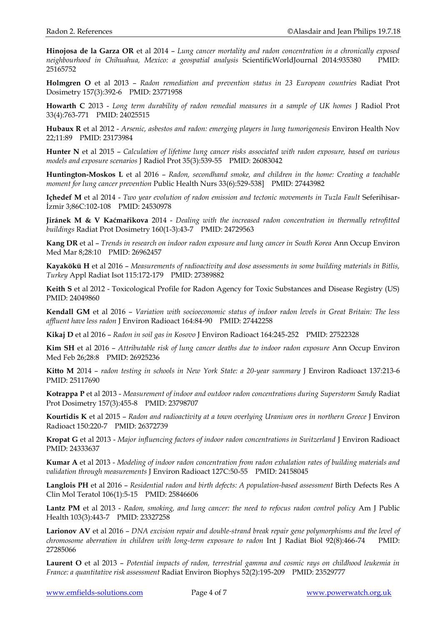**Hinojosa de la Garza OR** et al 2014 – *Lung cancer mortality and radon concentration in a chronically exposed neighbourhood in Chihuahua, Mexico: a geospatial analysis* ScientificWorldJournal 2014:935380 PMID: 25165752

**Holmgren O** et al 2013 – *Radon remediation and prevention status in 23 European countries* Radiat Prot Dosimetry 157(3):392-6 PMID: 23771958

**Howarth C** 2013 - *Long term durability of radon remedial measures in a sample of UK homes* J Radiol Prot 33(4):763-771 PMID: 24025515

**Hubaux R** et al 2012 - *Arsenic, asbestos and radon: emerging players in lung tumorigenesis* Environ Health Nov 22;11:89 PMID: 23173984

**Hunter N** et al 2015 – *Calculation of lifetime lung cancer risks associated with radon exposure, based on various models and exposure scenarios* J Radiol Prot 35(3):539-55 PMID: 26083042

**Huntington-Moskos L** et al 2016 – *Radon, secondhand smoke, and children in the home: Creating a teachable moment for lung cancer prevention* Public Health Nurs 33(6):529-538] PMID: 27443982

**Içhedef M** et al 2014 - *Two year evolution of radon emission and tectonic movements in Tuzla Fault* Seferihisar-İzmir 3;86C:102-108 PMID: 24530978

**Jiránek M & V Kaćmařikova** 2014 - *Dealing with the increased radon concentration in thermally retrofitted buildings* Radiat Prot Dosimetry 160(1-3):43-7 PMID: 24729563

**Kang DR** et al – *Trends in research on indoor radon exposure and lung cancer in South Korea* Ann Occup Environ Med Mar 8;28:10 PMID: 26962457

**Kayakökü H** et al 2016 – *Measurements of radioactivity and dose assessments in some building materials in Bitlis, Turkey* Appl Radiat Isot 115:172-179 PMID: 27389882

**Keith S** et al 2012 - Toxicological Profile for Radon Agency for Toxic Substances and Disease Registry (US) PMID: 24049860

**Kendall GM** et al 2016 – *Variation with socioeconomic status of indoor radon levels in Great Britain: The less affluent have less radon* J Environ Radioact 164:84-90 PMID: 27442258

**Kikaj D** et al 2016 – *Radon in soil gas in Kosovo* J Environ Radioact 164:245-252 PMID: 27522328

**Kim SH** et al 2016 – *Attributable risk of lung cancer deaths due to indoor radon exposure* Ann Occup Environ Med Feb 26;28:8 PMID: 26925236

**Kitto M** 2014 – *radon testing in schools in New York State: a 20-year summary* J Environ Radioact 137:213-6 PMID: 25117690

**Kotrappa P** et al 2013 - *Measurement of indoor and outdoor radon concentrations during Superstorm Sandy* Radiat Prot Dosimetry 157(3):455-8 PMID: 23798707

**Kourtidis K** et al 2015 – *Radon and radioactivity at a town overlying Uranium ores in northern Greece* J Environ Radioact 150:220-7 PMID: 26372739

**Kropat G** et al 2013 - *Major influencing factors of indoor radon concentrations in Switzerland* J Environ Radioact PMID: 24333637

**Kumar A** et al 2013 - *Modeling of indoor radon concentration from radon exhalation rates of building materials and validation through measurements* J Environ Radioact 127C:50-55 PMID: 24158045

**Langlois PH** et al 2016 – *Residential radon and birth defects: A population-based assessment* Birth Defects Res A Clin Mol Teratol 106(1):5-15 PMID: 25846606

**Lantz PM** et al 2013 - *Radon, smoking, and lung cancer: the need to refocus radon control policy* Am J Public Health 103(3):443-7 PMID: 23327258

**Larionov AV** et al 2016 – *DNA excision repair and double-strand break repair gene polymorphisms and the level of chromosome aberration in children with long-term exposure to radon* Int J Radiat Biol 92(8):466-74 PMID: 27285066

**Laurent O** et al 2013 – *Potential impacts of radon, terrestrial gamma and cosmic rays on childhood leukemia in France: a quantitative risk assessment* Radiat Environ Biophys 52(2):195-209 PMID: 23529777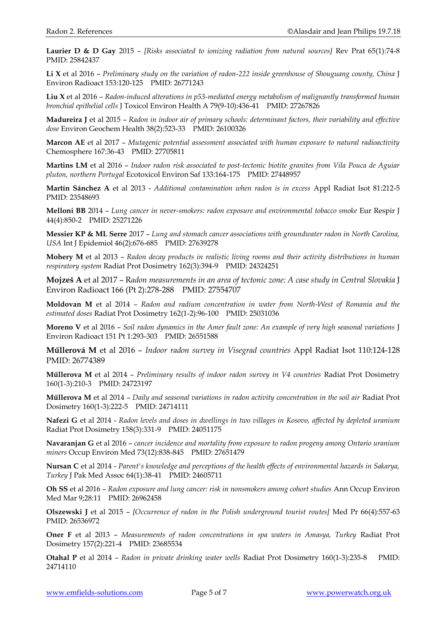**Laurier D & D Gay** 2015 – *[Risks associated to ionizing radiation from natural sources]* Rev Prat 65(1):74-8 PMID: 25842437

**Li X** et al 2016 – *Preliminary study on the variation of radon-222 inside greenhouse of Shouguang county, China* J Environ Radioact 153:120-125 PMID: 26771243

**Liu X** et al 2016 – *Radon-induced alterations in p53-mediated energy metabolism of malignantly transformed human bronchial epithelial cells* J Toxicol Environ Health A 79(9-10):436-41 PMID: 27267826

**Madureira J** et al 2015 – *Radon in indoor air of primary schools: determinant factors, their variability and effective dose* Environ Geochem Health 38(2):523-33 PMID: 26100326

**Marcon AE** et al 2017 – *Mutagenic potential assessment associated with human exposure to natural radioactivity*  Chemosphere 167:36-43 PMID: 27705811

**Martins LM** et al 2016 – *Indoor radon risk associated to post-tectonic biotite granites from Vila Pouca de Aguiar pluton, northern Portugal* Ecotoxicol Environ Saf 133:164-175 PMID: 27448957

**Martín Sánchez A** et al 2013 - *Additional contamination when radon is in excess* Appl Radiat Isot 81:212-5 PMID: 23548693

**Melloni BB** 2014 – *Lung cancer in never-smokers: radon exposure and environmental tobacco smoke* Eur Respir J 44(4):850-2 PMID: 25271226

**Messier KP & ML Serre** 2017 – *Lung and stomach cancer associations with groundwater radon in North Carolina, USA* Int J Epidemiol 46(2):676-685 PMID: 27639278

**Mohery M** et al 2013 – *Radon decay products in realistic living rooms and their activity distributions in human respiratory system* Radiat Prot Dosimetry 162(3):394-9 PMID: 24324251

**Mojzeš A** et al 2017 – R*adon measurements in an area of tectonic zone: A case study in Central Slovakia* J Environ Radioact 166 (Pt 2):278-288 PMID: 27554707

**Moldovan M** et al 2014 – *Radon and radium concentration in water from North-West of Romania and the estimated doses* Radiat Prot Dosimetry 162(1-2):96-100 PMID: 25031036

**Moreno V** et al 2016 – *Soil radon dynamics in the Amer fault zone: An example of very high seasonal variations* J Environ Radioact 151 Pt 1:293-303 PMID: 26551588

**Műllerová M** et al 2016 – *Indoor radon survey in Visegrad countries* Appl Radiat Isot 110:124-128 PMID: 26774389

**Műllerova M** et al 2014 – *Preliminary results of indoor radon survey in V4 countries* Radiat Prot Dosimetry 160(1-3):210-3 PMID: 24723197

**Műllerova M** et al 2014 – *Daily and seasonal variations in radon activity concentration in the soil air* Radiat Prot Dosimetry 160(1-3):222-5 PMID: 24714111

**Nafezi G** et al 2014 - *Radon levels and doses in dwellings in two villages in Kosovo, affected by depleted uranium* Radiat Prot Dosimetry 158(3):331-9 PMID: 24051175

**Navaranjan G** et al 2016 – *cancer incidence and mortality from exposure to radon progeny among Ontario uranium miners* Occup Environ Med 73(12):838-845 PMID: 27651479

**Nursan C** et al 2014 - *Parent's knowledge and perceptions of the health effects of environmental hazards in Sakarya, Turkey* J Pak Med Assoc 64(1):38-41 PMID: 24605711

**Oh SS** et al 2016 – *Radon exposure and lung cancer: risk in nonsmokers among cohort studies* Ann Occup Environ Med Mar 9;28:11 PMID: 26962458

**Olszewski J** et al 2015 – *[Occurrence of radon in the Polish underground tourist routes]* Med Pr 66(4):557-63 PMID: 26536972

**Oner F** et al 2013 – *Measurements of radon concentrations in spa waters in Amasya, Turkey* Radiat Prot Dosimetry 157(2):221-4 PMID: 23685534

**Otahal P** et al 2014 – *Radon in private drinking water wells* Radiat Prot Dosimetry 160(1-3):235-8 PMID: 24714110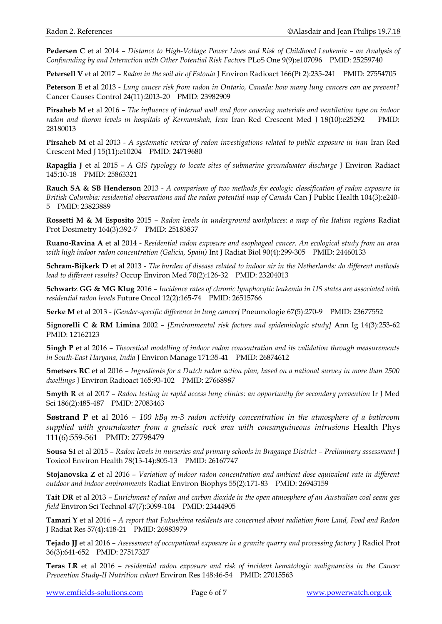**Pedersen C** et al 2014 – *Distance to High-Voltage Power Lines and Risk of Childhood Leukemia – an Analysis of Confounding by and Interaction with Other Potential Risk Factors* PLoS One 9(9):e107096 PMID: 25259740

**Petersell V** et al 2017 – *Radon in the soil air of Estonia* J Environ Radioact 166(Pt 2):235-241 PMID: 27554705

**Peterson E** et al 2013 - *Lung cancer risk from radon in Ontario, Canada: how many lung cancers can we prevent?* Cancer Causes Control 24(11):2013-20 PMID: 23982909

**Pirsaheb M** et al 2016 – *The influence of internal wall and floor covering materials and ventilation type on indoor* radon and thoron levels in hospitals of Kermanshah, Iran Iran Red Crescent Med J 18(10):e25292 PMID: 28180013

**Pirsaheb M** et al 2013 - *A systematic review of radon investigations related to public exposure in iran* Iran Red Crescent Med J 15(11):e10204 PMID: 24719680

**Rapaglia J** et al 2015 – *A GIS typology to locate sites of submarine groundwater discharge* J Environ Radiact 145:10-18 PMID: 25863321

**Rauch SA & SB Henderson** 2013 - *A comparison of two methods for ecologic classification of radon exposure in British Columbia: residential observations and the radon potential map of Canada* Can J Public Health 104(3):e240- 5 PMID: 23823889

**Rossetti M & M Esposito** 2015 – *Radon levels in underground workplaces: a map of the Italian regions* Radiat Prot Dosimetry 164(3):392-7 PMID: 25183837

**Ruano-Ravina A** et al 2014 - *Residential radon exposure and esophageal cancer. An ecological study from an area with high indoor radon concentration (Galicia, Spain)* Int J Radiat Biol 90(4):299-305 PMID: 24460133

**Schram-Bijkerk D** et al 2013 - *The burden of disease related to indoor air in the Netherlands: do different methods lead to different results?* Occup Environ Med 70(2):126-32 PMID: 23204013

**Schwartz GG & MG Klug** 2016 – *Incidence rates of chronic lymphocytic leukemia in US states are associated with residential radon levels* Future Oncol 12(2):165-74 PMID: 26515766

**Serke M** et al 2013 - *[Gender-specific difference in lung cancer]* Pneumologie 67(5):270-9 PMID: 23677552

**Signorelli C & RM Limina** 2002 – *[Environmental risk factors and epidemiologic study]* Ann Ig 14(3):253-62 PMID: 12162123

**Singh P** et al 2016 – *Theoretical modelling of indoor radon concentration and its validation through measurements in South-East Haryana, India* J Environ Manage 171:35-41 PMID: 26874612

**Smetsers RC** et al 2016 – *Ingredients for a Dutch radon action plan, based on a national survey in more than 2500 dwellings* J Environ Radioact 165:93-102 PMID: 27668987

**Smyth R** et al 2017 – *Radon testing in rapid access lung clinics: an opportunity for secondary prevention* Ir J Med Sci 186(2):485-487 PMID: 27083463

**Søstrand P** et al 2016 – *100 kBq m-3 radon activity concentration in the atmosphere of a bathroom supplied with groundwater from a gneissic rock area with consanguineous intrusions* Health Phys 111(6):559-561 PMID: 27798479

**Sousa SI** et al 2015 – *Radon levels in nurseries and primary schools in Bragança District – Preliminary assessment* J Toxicol Environ Health 78(13-14):805-13 PMID: 26167747

**Stojanovska Z** et al 2016 – *Variation of indoor radon concentration and ambient dose equivalent rate in different outdoor and indoor environments* Radiat Environ Biophys 55(2):171-83 PMID: 26943159

**Tait DR** et al 2013 – *Enrichment of radon and carbon dioxide in the open atmosphere of an Australian coal seam gas field* Environ Sci Technol 47(7):3099-104 PMID: 23444905

**Tamari Y** et al 2016 – *A report that Fukushima residents are concerned about radiation from Land, Food and Radon*  J Radiat Res 57(4):418-21 PMID: 26983979

**Tejado JJ** et al 2016 – *Assessment of occupational exposure in a granite quarry and processing factory* J Radiol Prot 36(3):641-652 PMID: 27517327

**Teras LR** et al 2016 – *residential radon exposure and risk of incident hematologic malignancies in the Cancer Prevention Study-II Nutrition cohort* Environ Res 148:46-54 PMID: 27015563